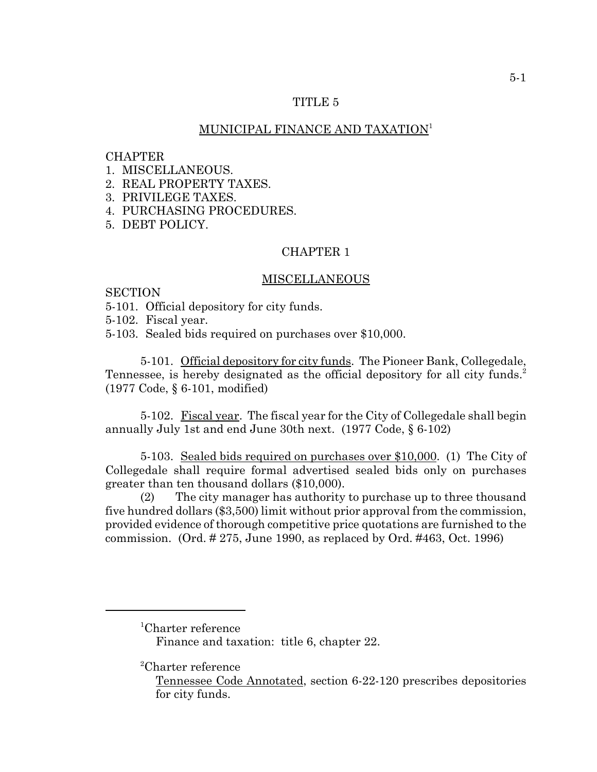## TITLE 5

## MUNICIPAL FINANCE AND TAXATION<sup>1</sup>

#### **CHAPTER**

- 1. MISCELLANEOUS.
- 2. REAL PROPERTY TAXES.
- 3. PRIVILEGE TAXES.
- 4. PURCHASING PROCEDURES.
- 5. DEBT POLICY.

# CHAPTER 1

#### MISCELLANEOUS

**SECTION** 

- 5-101. Official depository for city funds.
- 5-102. Fiscal year.

5-103. Sealed bids required on purchases over \$10,000.

5-101. Official depository for city funds. The Pioneer Bank, Collegedale, Tennessee, is hereby designated as the official depository for all city funds.<sup>2</sup> (1977 Code, § 6-101, modified)

5-102. Fiscal year. The fiscal year for the City of Collegedale shall begin annually July 1st and end June 30th next. (1977 Code, § 6-102)

5-103. Sealed bids required on purchases over \$10,000. (1) The City of Collegedale shall require formal advertised sealed bids only on purchases greater than ten thousand dollars (\$10,000).

(2) The city manager has authority to purchase up to three thousand five hundred dollars (\$3,500) limit without prior approval from the commission, provided evidence of thorough competitive price quotations are furnished to the commission. (Ord. # 275, June 1990, as replaced by Ord. #463, Oct. 1996)

<sup>1</sup> Charter reference

Finance and taxation: title 6, chapter 22.

<sup>2</sup> Charter reference

Tennessee Code Annotated, section 6-22-120 prescribes depositories for city funds.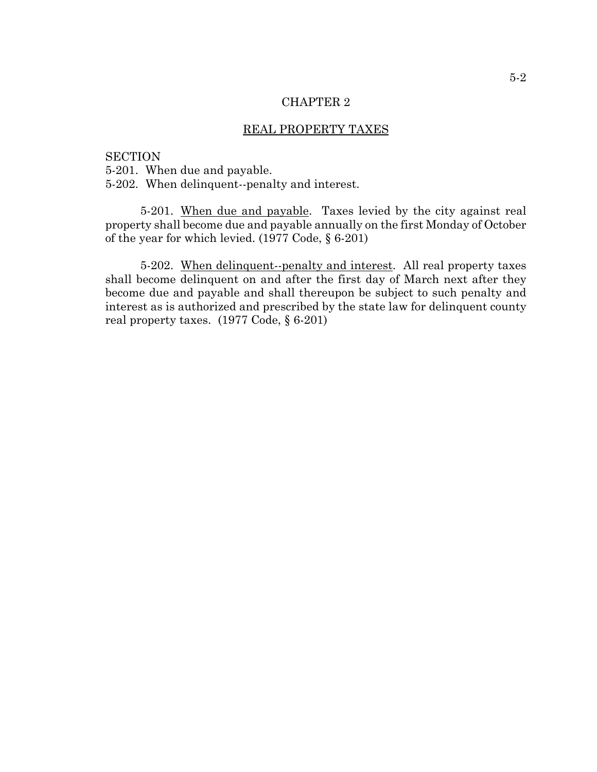### REAL PROPERTY TAXES

### **SECTION**

5-201. When due and payable.

5-202. When delinquent--penalty and interest.

5-201. When due and payable. Taxes levied by the city against real property shall become due and payable annually on the first Monday of October of the year for which levied. (1977 Code, § 6-201)

5-202. When delinquent--penalty and interest. All real property taxes shall become delinquent on and after the first day of March next after they become due and payable and shall thereupon be subject to such penalty and interest as is authorized and prescribed by the state law for delinquent county real property taxes. (1977 Code, § 6-201)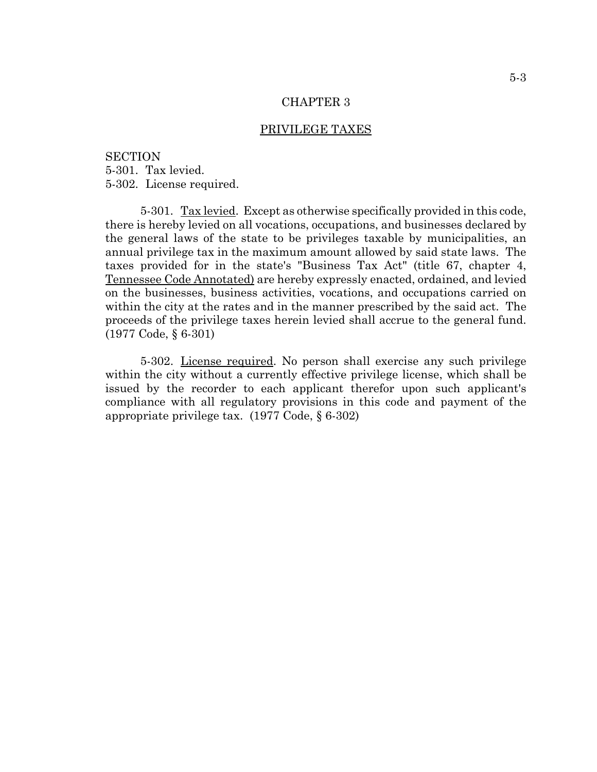## PRIVILEGE TAXES

**SECTION** 5-301. Tax levied. 5-302. License required.

5-301. Tax levied. Except as otherwise specifically provided in this code, there is hereby levied on all vocations, occupations, and businesses declared by the general laws of the state to be privileges taxable by municipalities, an annual privilege tax in the maximum amount allowed by said state laws. The taxes provided for in the state's "Business Tax Act" (title 67, chapter 4, Tennessee Code Annotated) are hereby expressly enacted, ordained, and levied on the businesses, business activities, vocations, and occupations carried on within the city at the rates and in the manner prescribed by the said act. The proceeds of the privilege taxes herein levied shall accrue to the general fund. (1977 Code, § 6-301)

5-302. License required. No person shall exercise any such privilege within the city without a currently effective privilege license, which shall be issued by the recorder to each applicant therefor upon such applicant's compliance with all regulatory provisions in this code and payment of the appropriate privilege tax. (1977 Code, § 6-302)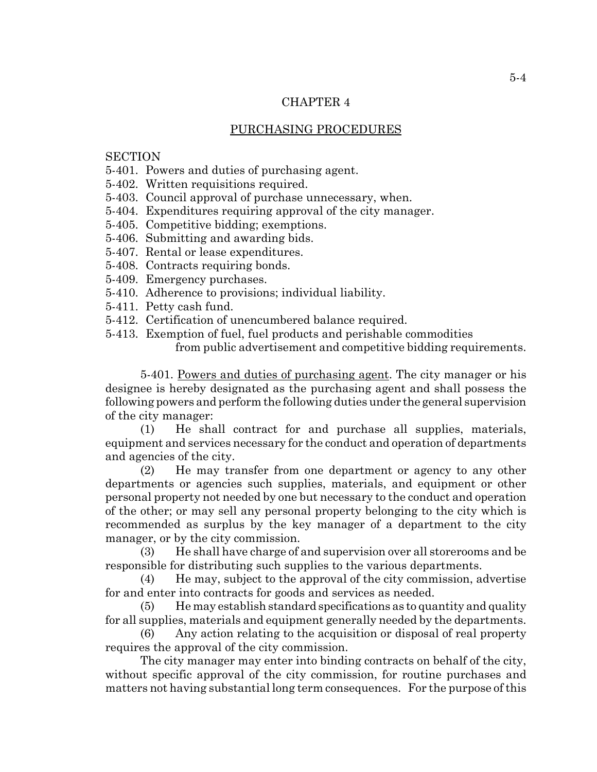#### PURCHASING PROCEDURES

# **SECTION**

- 5-401. Powers and duties of purchasing agent.
- 5-402. Written requisitions required.
- 5-403. Council approval of purchase unnecessary, when.
- 5-404. Expenditures requiring approval of the city manager.
- 5-405. Competitive bidding; exemptions.
- 5-406. Submitting and awarding bids.
- 5-407. Rental or lease expenditures.
- 5-408. Contracts requiring bonds.
- 5-409. Emergency purchases.
- 5-410. Adherence to provisions; individual liability.
- 5-411. Petty cash fund.
- 5-412. Certification of unencumbered balance required.
- 5-413. Exemption of fuel, fuel products and perishable commodities from public advertisement and competitive bidding requirements.

5-401. Powers and duties of purchasing agent. The city manager or his designee is hereby designated as the purchasing agent and shall possess the following powers and perform the following duties under the general supervision of the city manager:

(1) He shall contract for and purchase all supplies, materials, equipment and services necessary for the conduct and operation of departments and agencies of the city.

(2) He may transfer from one department or agency to any other departments or agencies such supplies, materials, and equipment or other personal property not needed by one but necessary to the conduct and operation of the other; or may sell any personal property belonging to the city which is recommended as surplus by the key manager of a department to the city manager, or by the city commission.

(3) He shall have charge of and supervision over all storerooms and be responsible for distributing such supplies to the various departments.

(4) He may, subject to the approval of the city commission, advertise for and enter into contracts for goods and services as needed.

(5) He may establish standard specifications as to quantity and quality for all supplies, materials and equipment generally needed by the departments.

(6) Any action relating to the acquisition or disposal of real property requires the approval of the city commission.

The city manager may enter into binding contracts on behalf of the city, without specific approval of the city commission, for routine purchases and matters not having substantial long term consequences. For the purpose of this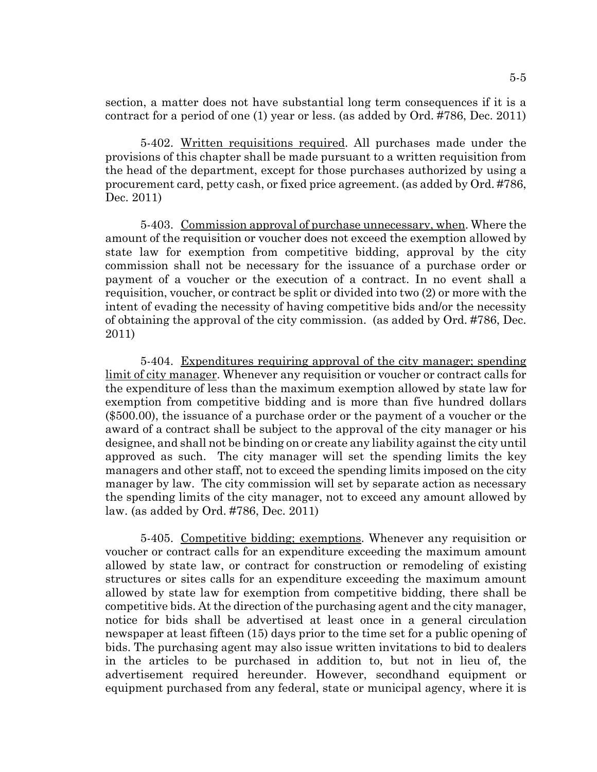section, a matter does not have substantial long term consequences if it is a contract for a period of one (1) year or less. (as added by Ord. #786, Dec. 2011)

5-402. Written requisitions required. All purchases made under the provisions of this chapter shall be made pursuant to a written requisition from the head of the department, except for those purchases authorized by using a procurement card, petty cash, or fixed price agreement. (as added by Ord. #786, Dec. 2011)

5-403. Commission approval of purchase unnecessary, when. Where the amount of the requisition or voucher does not exceed the exemption allowed by state law for exemption from competitive bidding, approval by the city commission shall not be necessary for the issuance of a purchase order or payment of a voucher or the execution of a contract. In no event shall a requisition, voucher, or contract be split or divided into two (2) or more with the intent of evading the necessity of having competitive bids and/or the necessity of obtaining the approval of the city commission. (as added by Ord. #786, Dec. 2011)

5-404. Expenditures requiring approval of the city manager; spending limit of city manager. Whenever any requisition or voucher or contract calls for the expenditure of less than the maximum exemption allowed by state law for exemption from competitive bidding and is more than five hundred dollars (\$500.00), the issuance of a purchase order or the payment of a voucher or the award of a contract shall be subject to the approval of the city manager or his designee, and shall not be binding on or create any liability against the city until approved as such. The city manager will set the spending limits the key managers and other staff, not to exceed the spending limits imposed on the city manager by law. The city commission will set by separate action as necessary the spending limits of the city manager, not to exceed any amount allowed by law. (as added by Ord. #786, Dec. 2011)

5-405. Competitive bidding; exemptions. Whenever any requisition or voucher or contract calls for an expenditure exceeding the maximum amount allowed by state law, or contract for construction or remodeling of existing structures or sites calls for an expenditure exceeding the maximum amount allowed by state law for exemption from competitive bidding, there shall be competitive bids. At the direction of the purchasing agent and the city manager, notice for bids shall be advertised at least once in a general circulation newspaper at least fifteen (15) days prior to the time set for a public opening of bids. The purchasing agent may also issue written invitations to bid to dealers in the articles to be purchased in addition to, but not in lieu of, the advertisement required hereunder. However, secondhand equipment or equipment purchased from any federal, state or municipal agency, where it is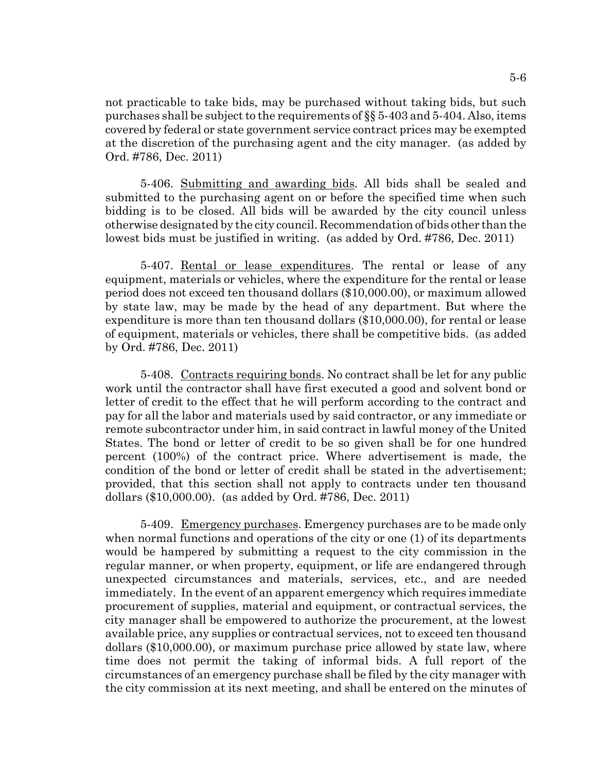not practicable to take bids, may be purchased without taking bids, but such purchases shall be subject to the requirements of §§ 5-403 and 5-404. Also, items covered by federal or state government service contract prices may be exempted at the discretion of the purchasing agent and the city manager. (as added by Ord. #786, Dec. 2011)

5-406. Submitting and awarding bids. All bids shall be sealed and submitted to the purchasing agent on or before the specified time when such bidding is to be closed. All bids will be awarded by the city council unless otherwise designated by the city council. Recommendation of bids other than the lowest bids must be justified in writing. (as added by Ord. #786, Dec. 2011)

5-407. Rental or lease expenditures. The rental or lease of any equipment, materials or vehicles, where the expenditure for the rental or lease period does not exceed ten thousand dollars (\$10,000.00), or maximum allowed by state law, may be made by the head of any department. But where the expenditure is more than ten thousand dollars (\$10,000.00), for rental or lease of equipment, materials or vehicles, there shall be competitive bids. (as added by Ord. #786, Dec. 2011)

5-408. Contracts requiring bonds. No contract shall be let for any public work until the contractor shall have first executed a good and solvent bond or letter of credit to the effect that he will perform according to the contract and pay for all the labor and materials used by said contractor, or any immediate or remote subcontractor under him, in said contract in lawful money of the United States. The bond or letter of credit to be so given shall be for one hundred percent (100%) of the contract price. Where advertisement is made, the condition of the bond or letter of credit shall be stated in the advertisement; provided, that this section shall not apply to contracts under ten thousand dollars (\$10,000.00). (as added by Ord. #786, Dec. 2011)

5-409. Emergency purchases. Emergency purchases are to be made only when normal functions and operations of the city or one (1) of its departments would be hampered by submitting a request to the city commission in the regular manner, or when property, equipment, or life are endangered through unexpected circumstances and materials, services, etc., and are needed immediately. In the event of an apparent emergency which requires immediate procurement of supplies, material and equipment, or contractual services, the city manager shall be empowered to authorize the procurement, at the lowest available price, any supplies or contractual services, not to exceed ten thousand dollars (\$10,000.00), or maximum purchase price allowed by state law, where time does not permit the taking of informal bids. A full report of the circumstances of an emergency purchase shall be filed by the city manager with the city commission at its next meeting, and shall be entered on the minutes of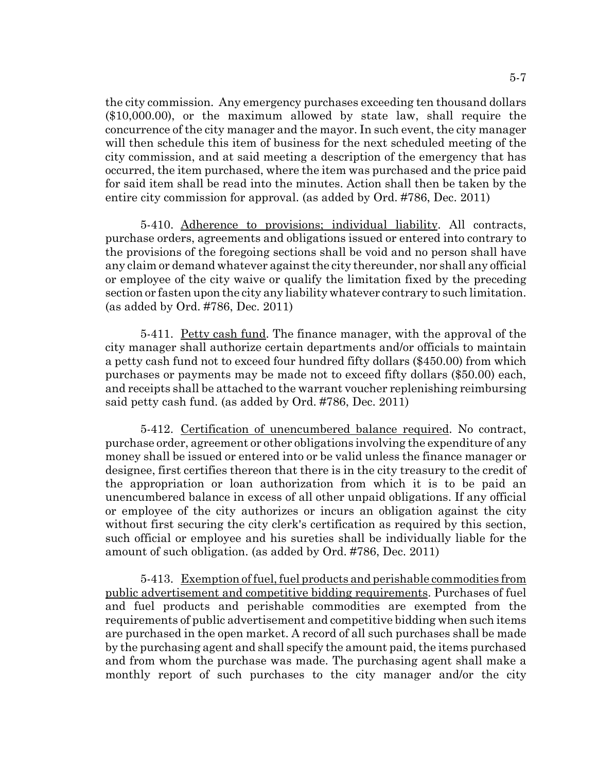the city commission. Any emergency purchases exceeding ten thousand dollars (\$10,000.00), or the maximum allowed by state law, shall require the concurrence of the city manager and the mayor. In such event, the city manager will then schedule this item of business for the next scheduled meeting of the city commission, and at said meeting a description of the emergency that has occurred, the item purchased, where the item was purchased and the price paid for said item shall be read into the minutes. Action shall then be taken by the entire city commission for approval. (as added by Ord. #786, Dec. 2011)

5-410. Adherence to provisions; individual liability. All contracts, purchase orders, agreements and obligations issued or entered into contrary to the provisions of the foregoing sections shall be void and no person shall have any claim or demand whatever against the city thereunder, nor shall any official or employee of the city waive or qualify the limitation fixed by the preceding section or fasten upon the city any liability whatever contrary to such limitation. (as added by Ord. #786, Dec. 2011)

5-411. Petty cash fund. The finance manager, with the approval of the city manager shall authorize certain departments and/or officials to maintain a petty cash fund not to exceed four hundred fifty dollars (\$450.00) from which purchases or payments may be made not to exceed fifty dollars (\$50.00) each, and receipts shall be attached to the warrant voucher replenishing reimbursing said petty cash fund. (as added by Ord. #786, Dec. 2011)

5-412. Certification of unencumbered balance required. No contract, purchase order, agreement or other obligations involving the expenditure of any money shall be issued or entered into or be valid unless the finance manager or designee, first certifies thereon that there is in the city treasury to the credit of the appropriation or loan authorization from which it is to be paid an unencumbered balance in excess of all other unpaid obligations. If any official or employee of the city authorizes or incurs an obligation against the city without first securing the city clerk's certification as required by this section, such official or employee and his sureties shall be individually liable for the amount of such obligation. (as added by Ord. #786, Dec. 2011)

5-413. Exemption of fuel, fuel products and perishable commodities from public advertisement and competitive bidding requirements. Purchases of fuel and fuel products and perishable commodities are exempted from the requirements of public advertisement and competitive bidding when such items are purchased in the open market. A record of all such purchases shall be made by the purchasing agent and shall specify the amount paid, the items purchased and from whom the purchase was made. The purchasing agent shall make a monthly report of such purchases to the city manager and/or the city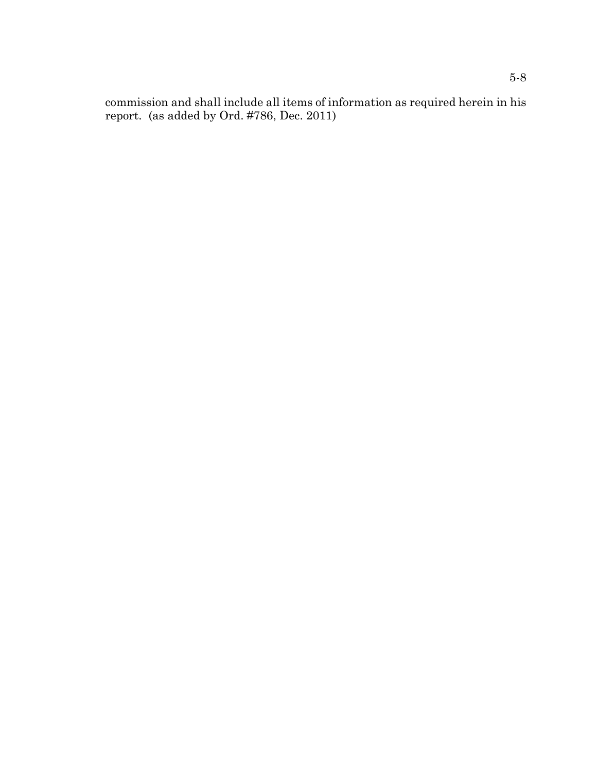commission and shall include all items of information as required herein in his report. (as added by Ord. #786, Dec. 2011)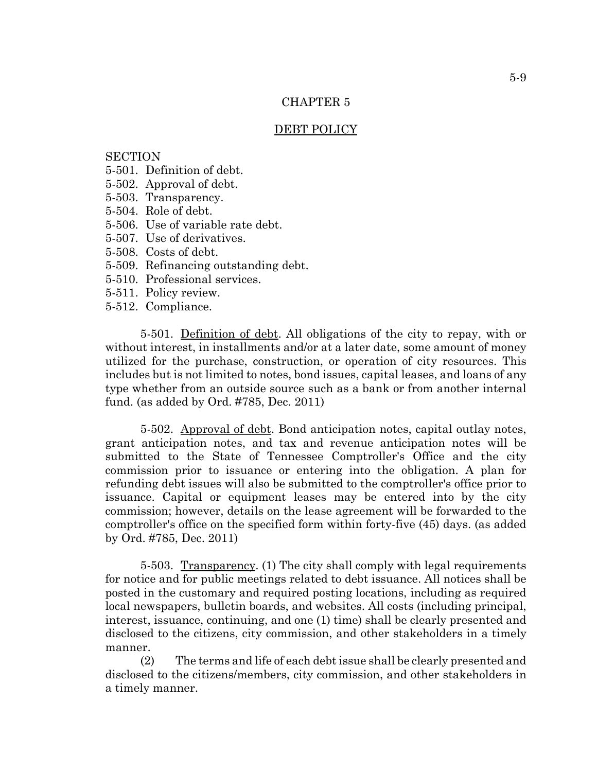#### DEBT POLICY

# **SECTION**

- 5-501. Definition of debt.
- 5-502. Approval of debt.
- 5-503. Transparency.
- 5-504. Role of debt.
- 5-506. Use of variable rate debt.
- 5-507. Use of derivatives.
- 5-508. Costs of debt.
- 5-509. Refinancing outstanding debt.
- 5-510. Professional services.
- 5-511. Policy review.
- 5-512. Compliance.

5-501. Definition of debt. All obligations of the city to repay, with or without interest, in installments and/or at a later date, some amount of money utilized for the purchase, construction, or operation of city resources. This includes but is not limited to notes, bond issues, capital leases, and loans of any type whether from an outside source such as a bank or from another internal fund. (as added by Ord. #785, Dec. 2011)

5-502. Approval of debt. Bond anticipation notes, capital outlay notes, grant anticipation notes, and tax and revenue anticipation notes will be submitted to the State of Tennessee Comptroller's Office and the city commission prior to issuance or entering into the obligation. A plan for refunding debt issues will also be submitted to the comptroller's office prior to issuance. Capital or equipment leases may be entered into by the city commission; however, details on the lease agreement will be forwarded to the comptroller's office on the specified form within forty-five (45) days. (as added by Ord. #785, Dec. 2011)

5-503. Transparency. (1) The city shall comply with legal requirements for notice and for public meetings related to debt issuance. All notices shall be posted in the customary and required posting locations, including as required local newspapers, bulletin boards, and websites. All costs (including principal, interest, issuance, continuing, and one (1) time) shall be clearly presented and disclosed to the citizens, city commission, and other stakeholders in a timely manner.

(2) The terms and life of each debt issue shall be clearly presented and disclosed to the citizens/members, city commission, and other stakeholders in a timely manner.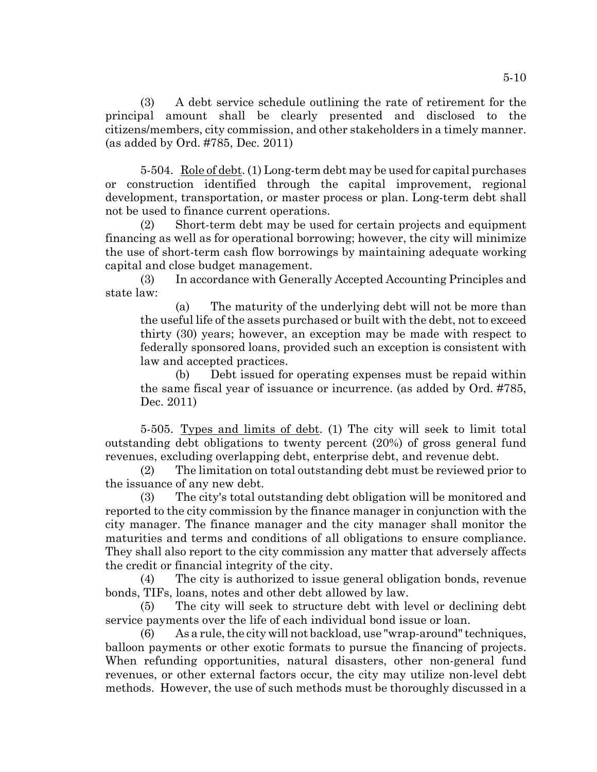(3) A debt service schedule outlining the rate of retirement for the principal amount shall be clearly presented and disclosed to the citizens/members, city commission, and other stakeholders in a timely manner. (as added by Ord. #785, Dec. 2011)

5-504. Role of debt. (1) Long-term debt may be used for capital purchases or construction identified through the capital improvement, regional development, transportation, or master process or plan. Long-term debt shall not be used to finance current operations.

(2) Short-term debt may be used for certain projects and equipment financing as well as for operational borrowing; however, the city will minimize the use of short-term cash flow borrowings by maintaining adequate working capital and close budget management.

(3) In accordance with Generally Accepted Accounting Principles and state law:

(a) The maturity of the underlying debt will not be more than the useful life of the assets purchased or built with the debt, not to exceed thirty (30) years; however, an exception may be made with respect to federally sponsored loans, provided such an exception is consistent with law and accepted practices.

(b) Debt issued for operating expenses must be repaid within the same fiscal year of issuance or incurrence. (as added by Ord. #785, Dec. 2011)

5-505. Types and limits of debt. (1) The city will seek to limit total outstanding debt obligations to twenty percent (20%) of gross general fund revenues, excluding overlapping debt, enterprise debt, and revenue debt.

(2) The limitation on total outstanding debt must be reviewed prior to the issuance of any new debt.

(3) The city's total outstanding debt obligation will be monitored and reported to the city commission by the finance manager in conjunction with the city manager. The finance manager and the city manager shall monitor the maturities and terms and conditions of all obligations to ensure compliance. They shall also report to the city commission any matter that adversely affects the credit or financial integrity of the city.

(4) The city is authorized to issue general obligation bonds, revenue bonds, TIFs, loans, notes and other debt allowed by law.

(5) The city will seek to structure debt with level or declining debt service payments over the life of each individual bond issue or loan.

(6) As a rule, the city will not backload, use "wrap-around" techniques, balloon payments or other exotic formats to pursue the financing of projects. When refunding opportunities, natural disasters, other non-general fund revenues, or other external factors occur, the city may utilize non-level debt methods. However, the use of such methods must be thoroughly discussed in a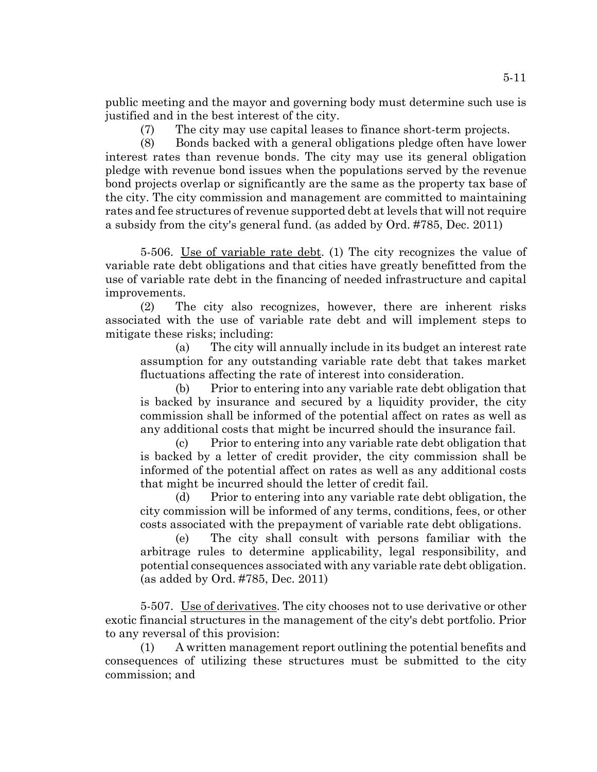public meeting and the mayor and governing body must determine such use is justified and in the best interest of the city.

(7) The city may use capital leases to finance short-term projects.

(8) Bonds backed with a general obligations pledge often have lower interest rates than revenue bonds. The city may use its general obligation pledge with revenue bond issues when the populations served by the revenue bond projects overlap or significantly are the same as the property tax base of the city. The city commission and management are committed to maintaining rates and fee structures of revenue supported debt at levels that will not require a subsidy from the city's general fund. (as added by Ord. #785, Dec. 2011)

5-506. Use of variable rate debt. (1) The city recognizes the value of variable rate debt obligations and that cities have greatly benefitted from the use of variable rate debt in the financing of needed infrastructure and capital improvements.

(2) The city also recognizes, however, there are inherent risks associated with the use of variable rate debt and will implement steps to mitigate these risks; including:

(a) The city will annually include in its budget an interest rate assumption for any outstanding variable rate debt that takes market fluctuations affecting the rate of interest into consideration.

(b) Prior to entering into any variable rate debt obligation that is backed by insurance and secured by a liquidity provider, the city commission shall be informed of the potential affect on rates as well as any additional costs that might be incurred should the insurance fail.

(c) Prior to entering into any variable rate debt obligation that is backed by a letter of credit provider, the city commission shall be informed of the potential affect on rates as well as any additional costs that might be incurred should the letter of credit fail.

(d) Prior to entering into any variable rate debt obligation, the city commission will be informed of any terms, conditions, fees, or other costs associated with the prepayment of variable rate debt obligations.

(e) The city shall consult with persons familiar with the arbitrage rules to determine applicability, legal responsibility, and potential consequences associated with any variable rate debt obligation. (as added by Ord. #785, Dec. 2011)

5-507. Use of derivatives. The city chooses not to use derivative or other exotic financial structures in the management of the city's debt portfolio. Prior to any reversal of this provision:

(1) A written management report outlining the potential benefits and consequences of utilizing these structures must be submitted to the city commission; and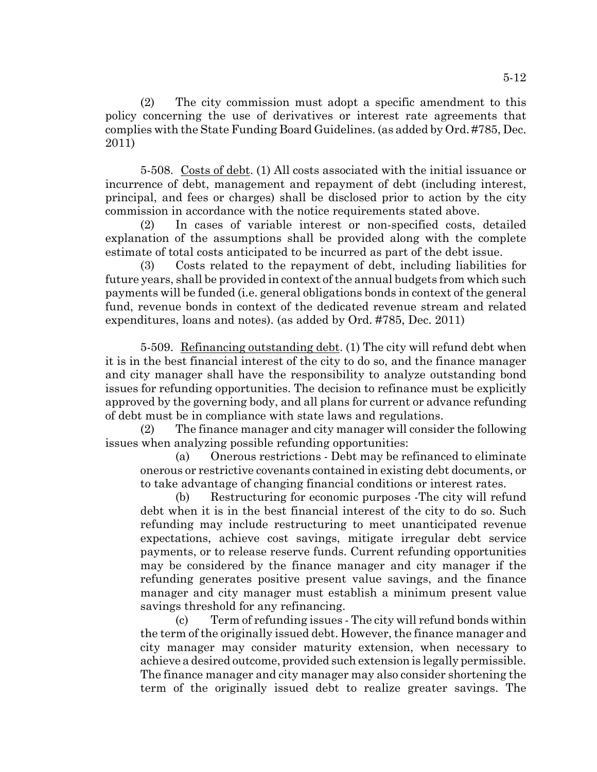(2) The city commission must adopt a specific amendment to this policy concerning the use of derivatives or interest rate agreements that complies with the State Funding Board Guidelines. (as added by Ord. #785, Dec. 2011)

5-508. Costs of debt. (1) All costs associated with the initial issuance or incurrence of debt, management and repayment of debt (including interest, principal, and fees or charges) shall be disclosed prior to action by the city commission in accordance with the notice requirements stated above.

(2) In cases of variable interest or non-specified costs, detailed explanation of the assumptions shall be provided along with the complete estimate of total costs anticipated to be incurred as part of the debt issue.

(3) Costs related to the repayment of debt, including liabilities for future years, shall be provided in context of the annual budgets from which such payments will be funded (i.e. general obligations bonds in context of the general fund, revenue bonds in context of the dedicated revenue stream and related expenditures, loans and notes). (as added by Ord. #785, Dec. 2011)

5-509. Refinancing outstanding debt. (1) The city will refund debt when it is in the best financial interest of the city to do so, and the finance manager and city manager shall have the responsibility to analyze outstanding bond issues for refunding opportunities. The decision to refinance must be explicitly approved by the governing body, and all plans for current or advance refunding of debt must be in compliance with state laws and regulations.

(2) The finance manager and city manager will consider the following issues when analyzing possible refunding opportunities:

(a) Onerous restrictions - Debt may be refinanced to eliminate onerous or restrictive covenants contained in existing debt documents, or to take advantage of changing financial conditions or interest rates.

(b) Restructuring for economic purposes -The city will refund debt when it is in the best financial interest of the city to do so. Such refunding may include restructuring to meet unanticipated revenue expectations, achieve cost savings, mitigate irregular debt service payments, or to release reserve funds. Current refunding opportunities may be considered by the finance manager and city manager if the refunding generates positive present value savings, and the finance manager and city manager must establish a minimum present value savings threshold for any refinancing.

(c) Term of refunding issues - The city will refund bonds within the term of the originally issued debt. However, the finance manager and city manager may consider maturity extension, when necessary to achieve a desired outcome, provided such extension is legally permissible. The finance manager and city manager may also consider shortening the term of the originally issued debt to realize greater savings. The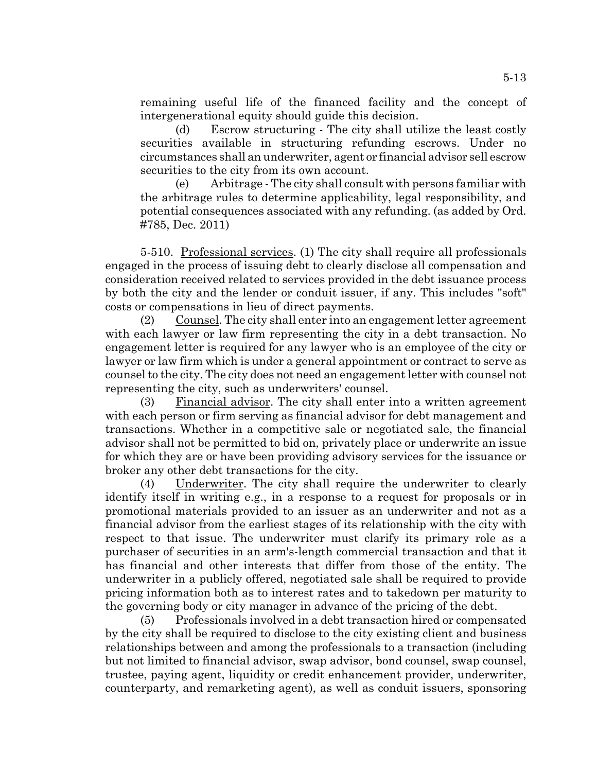remaining useful life of the financed facility and the concept of intergenerational equity should guide this decision.

(d) Escrow structuring - The city shall utilize the least costly securities available in structuring refunding escrows. Under no circumstances shall an underwriter, agent or financial advisor sell escrow securities to the city from its own account.

(e) Arbitrage - The city shall consult with persons familiar with the arbitrage rules to determine applicability, legal responsibility, and potential consequences associated with any refunding. (as added by Ord. #785, Dec. 2011)

5-510. Professional services. (1) The city shall require all professionals engaged in the process of issuing debt to clearly disclose all compensation and consideration received related to services provided in the debt issuance process by both the city and the lender or conduit issuer, if any. This includes "soft" costs or compensations in lieu of direct payments.

(2) Counsel. The city shall enter into an engagement letter agreement with each lawyer or law firm representing the city in a debt transaction. No engagement letter is required for any lawyer who is an employee of the city or lawyer or law firm which is under a general appointment or contract to serve as counsel to the city. The city does not need an engagement letter with counsel not representing the city, such as underwriters' counsel.

(3) Financial advisor. The city shall enter into a written agreement with each person or firm serving as financial advisor for debt management and transactions. Whether in a competitive sale or negotiated sale, the financial advisor shall not be permitted to bid on, privately place or underwrite an issue for which they are or have been providing advisory services for the issuance or broker any other debt transactions for the city.

(4) Underwriter. The city shall require the underwriter to clearly identify itself in writing e.g., in a response to a request for proposals or in promotional materials provided to an issuer as an underwriter and not as a financial advisor from the earliest stages of its relationship with the city with respect to that issue. The underwriter must clarify its primary role as a purchaser of securities in an arm's-length commercial transaction and that it has financial and other interests that differ from those of the entity. The underwriter in a publicly offered, negotiated sale shall be required to provide pricing information both as to interest rates and to takedown per maturity to the governing body or city manager in advance of the pricing of the debt.

(5) Professionals involved in a debt transaction hired or compensated by the city shall be required to disclose to the city existing client and business relationships between and among the professionals to a transaction (including but not limited to financial advisor, swap advisor, bond counsel, swap counsel, trustee, paying agent, liquidity or credit enhancement provider, underwriter, counterparty, and remarketing agent), as well as conduit issuers, sponsoring